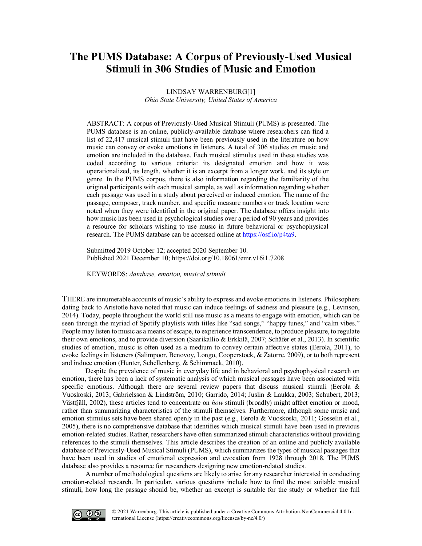# **The PUMS Database: A Corpus of Previously-Used Musical Stimuli in 306 Studies of Music and Emotion**

LINDSAY WARRENBURG[1] *Ohio State University, United States of America*

ABSTRACT: A corpus of Previously-Used Musical Stimuli (PUMS) is presented. The PUMS database is an online, publicly-available database where researchers can find a list of 22,417 musical stimuli that have been previously used in the literature on how music can convey or evoke emotions in listeners. A total of 306 studies on music and emotion are included in the database. Each musical stimulus used in these studies was coded according to various criteria: its designated emotion and how it was operationalized, its length, whether it is an excerpt from a longer work, and its style or genre. In the PUMS corpus, there is also information regarding the familiarity of the original participants with each musical sample, as well as information regarding whether each passage was used in a study about perceived or induced emotion. The name of the passage, composer, track number, and specific measure numbers or track location were noted when they were identified in the original paper. The database offers insight into how music has been used in psychological studies over a period of 90 years and provides a resource for scholars wishing to use music in future behavioral or psychophysical research. The PUMS database can be accessed online at [https://osf.io/p4ta9.](https://osf.io/p4ta9)

Submitted 2019 October 12; accepted 2020 September 10. Published 2021 Decembe[r 10; https://doi.org/10.18061/emr.v16i1.720](https://doi.org/10.18061/emr.v16i1.7208)8

KEYWORDS: *database, emotion, musical stimuli*

THERE are innumerable accounts of music's ability to express and evoke emotions in listeners. Philosophers dating back to Aristotle have noted that music can induce feelings of sadness and pleasure (e.g., Levinson, 2014). Today, people throughout the world still use music as a means to engage with emotion, which can be seen through the myriad of Spotify playlists with titles like "sad songs," "happy tunes," and "calm vibes." People may listen to music as a means of escape, to experience transcendence, to produce pleasure, to regulate their own emotions, and to provide diversion (Saarikallio & Erkkilä, 2007; Schäfer et al., 2013). In scientific studies of emotion, music is often used as a medium to convey certain affective states (Eerola, 2011), to evoke feelings in listeners (Salimpoor, Benovoy, Longo, Cooperstock, & Zatorre, 2009), or to both represent and induce emotion (Hunter, Schellenberg, & Schimmack, 2010).

Despite the prevalence of music in everyday life and in behavioral and psychophysical research on emotion, there has been a lack of systematic analysis of which musical passages have been associated with specific emotions. Although there are several review papers that discuss musical stimuli (Eerola  $\&$ Vuoskoski, 2013; Gabrielsson & Lindström, 2010; Garrido, 2014; Juslin & Laukka, 2003; Schubert, 2013; Västfjäll, 2002), these articles tend to concentrate on *how* stimuli (broadly) might affect emotion or mood, rather than summarizing characteristics of the stimuli themselves. Furthermore, although some music and emotion stimulus sets have been shared openly in the past (e.g., Eerola & Vuoskoski, 2011; Gosselin et al., 2005), there is no comprehensive database that identifies which musical stimuli have been used in previous emotion-related studies. Rather, researchers have often summarized stimuli characteristics without providing references to the stimuli themselves. This article describes the creation of an online and publicly available database of Previously-Used Musical Stimuli (PUMS), which summarizes the types of musical passages that have been used in studies of emotional expression and evocation from 1928 through 2018. The PUMS database also provides a resource for researchers designing new emotion-related studies.

A number of methodological questions are likely to arise for any researcher interested in conducting emotion-related research. In particular, various questions include how to find the most suitable musical stimuli, how long the passage should be, whether an excerpt is suitable for the study or whether the full

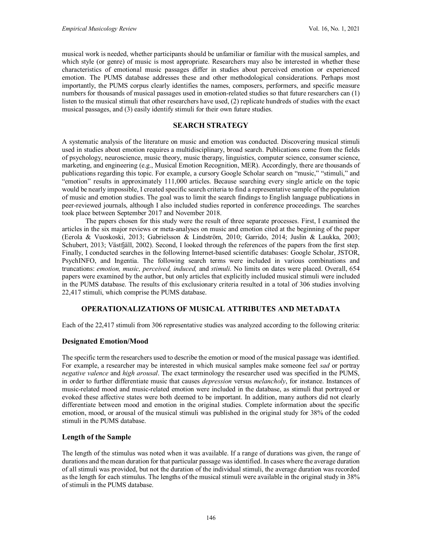musical work is needed, whether participants should be unfamiliar or familiar with the musical samples, and which style (or genre) of music is most appropriate. Researchers may also be interested in whether these characteristics of emotional music passages differ in studies about perceived emotion or experienced emotion. The PUMS database addresses these and other methodological considerations. Perhaps most importantly, the PUMS corpus clearly identifies the names, composers, performers, and specific measure numbers for thousands of musical passages used in emotion-related studies so that future researchers can (1) listen to the musical stimuli that other researchers have used, (2) replicate hundreds of studies with the exact musical passages, and (3) easily identify stimuli for their own future studies.

# **SEARCH STRATEGY**

A systematic analysis of the literature on music and emotion was conducted. Discovering musical stimuli used in studies about emotion requires a multidisciplinary, broad search. Publications come from the fields of psychology, neuroscience, music theory, music therapy, linguistics, computer science, consumer science, marketing, and engineering (e.g., Musical Emotion Recognition, MER). Accordingly, there are thousands of publications regarding this topic. For example, a cursory Google Scholar search on "music," "stimuli," and "emotion" results in approximately 111,000 articles. Because searching every single article on the topic would be nearly impossible, I created specific search criteria to find a representative sample of the population of music and emotion studies. The goal was to limit the search findings to English language publications in peer-reviewed journals, although I also included studies reported in conference proceedings. The searches took place between September 2017 and November 2018.

The papers chosen for this study were the result of three separate processes. First, I examined the articles in the six major reviews or meta-analyses on music and emotion cited at the beginning of the paper (Eerola & Vuoskoski, 2013; Gabrielsson & Lindström, 2010; Garrido, 2014; Juslin & Laukka, 2003; Schubert, 2013; Västfjäll, 2002). Second, I looked through the references of the papers from the first step. Finally, I conducted searches in the following Internet-based scientific databases: Google Scholar, JSTOR, PsychINFO, and Ingentia. The following search terms were included in various combinations and truncations: *emotion, music, perceived, induced,* and *stimuli*. No limits on dates were placed. Overall, 654 papers were examined by the author, but only articles that explicitly included musical stimuli were included in the PUMS database. The results of this exclusionary criteria resulted in a total of 306 studies involving 22,417 stimuli, which comprise the PUMS database.

# **OPERATIONALIZATIONS OF MUSICAL ATTRIBUTES AND METADATA**

Each of the 22,417 stimuli from 306 representative studies was analyzed according to the following criteria:

# **Designated Emotion/Mood**

The specific term the researchers used to describe the emotion or mood of the musical passage was identified. For example, a researcher may be interested in which musical samples make someone feel *sad* or portray *negative valence* and *high arousal*. The exact terminology the researcher used was specified in the PUMS, in order to further differentiate music that causes *depression* versus *melancholy*, for instance. Instances of music-related mood and music-related emotion were included in the database, as stimuli that portrayed or evoked these affective states were both deemed to be important. In addition, many authors did not clearly differentiate between mood and emotion in the original studies. Complete information about the specific emotion, mood, or arousal of the musical stimuli was published in the original study for 38% of the coded stimuli in the PUMS database.

## **Length of the Sample**

The length of the stimulus was noted when it was available. If a range of durations was given, the range of durations and the mean duration for that particular passage was identified. In cases where the average duration of all stimuli was provided, but not the duration of the individual stimuli, the average duration was recorded as the length for each stimulus. The lengths of the musical stimuli were available in the original study in 38% of stimuli in the PUMS database.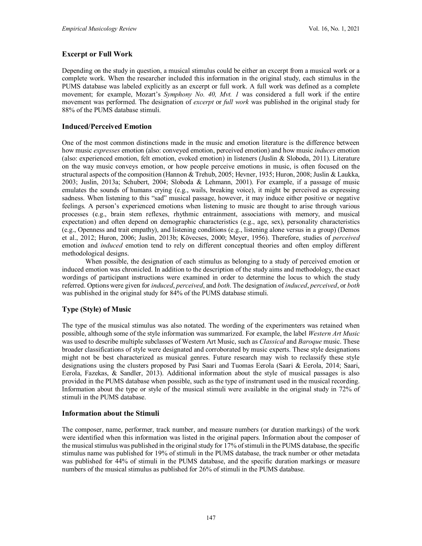# **Excerpt or Full Work**

Depending on the study in question, a musical stimulus could be either an excerpt from a musical work or a complete work. When the researcher included this information in the original study, each stimulus in the PUMS database was labeled explicitly as an excerpt or full work. A full work was defined as a complete movement; for example, Mozart's *Symphony No. 40, Mvt. 1* was considered a full work if the entire movement was performed. The designation of *excerpt* or *full work* was published in the original study for 88% of the PUMS database stimuli.

## **Induced/Perceived Emotion**

One of the most common distinctions made in the music and emotion literature is the difference between how music *expresses* emotion (also: conveyed emotion, perceived emotion) and how music *induces* emotion (also: experienced emotion, felt emotion, evoked emotion) in listeners (Juslin & Sloboda, 2011). Literature on the way music conveys emotion, or how people perceive emotions in music, is often focused on the structural aspects of the composition (Hannon & Trehub, 2005; Hevner, 1935; Huron, 2008; Juslin & Laukka, 2003; Juslin, 2013a; Schubert, 2004; Sloboda & Lehmann, 2001). For example, if a passage of music emulates the sounds of humans crying (e.g., wails, breaking voice), it might be perceived as expressing sadness. When listening to this "sad" musical passage, however, it may induce either positive or negative feelings. A person's experienced emotions when listening to music are thought to arise through various processes (e.g., brain stem reflexes, rhythmic entrainment, associations with memory, and musical expectation) and often depend on demographic characteristics (e.g., age, sex), personality characteristics (e.g., Openness and trait empathy), and listening conditions (e.g., listening alone versus in a group) (Demos et al., 2012; Huron, 2006; Juslin, 2013b; Kövecses, 2000; Meyer, 1956). Therefore, studies of *perceived* emotion and *induced* emotion tend to rely on different conceptual theories and often employ different methodological designs.

When possible, the designation of each stimulus as belonging to a study of perceived emotion or induced emotion was chronicled. In addition to the description of the study aims and methodology, the exact wordings of participant instructions were examined in order to determine the locus to which the study referred. Options were given for *induced*, *perceived*, and *both*. The designation of *induced*, *perceived*, or *both*  was published in the original study for 84% of the PUMS database stimuli.

# **Type (Style) of Music**

The type of the musical stimulus was also notated. The wording of the experimenters was retained when possible, although some of the style information was summarized. For example, the label *Western Art Music*  was used to describe multiple subclasses of Western Art Music, such as *Classical* and *Baroque* music. These broader classifications of style were designated and corroborated by music experts. These style designations might not be best characterized as musical genres. Future research may wish to reclassify these style designations using the clusters proposed by Pasi Saari and Tuomas Eerola (Saari & Eerola, 2014; Saari, Eerola, Fazekas, & Sandler, 2013). Additional information about the style of musical passages is also provided in the PUMS database when possible, such as the type of instrument used in the musical recording. Information about the type or style of the musical stimuli were available in the original study in 72% of stimuli in the PUMS database.

## **Information about the Stimuli**

The composer, name, performer, track number, and measure numbers (or duration markings) of the work were identified when this information was listed in the original papers. Information about the composer of the musical stimulus was published in the original study for 17% of stimuli in the PUMS database, the specific stimulus name was published for 19% of stimuli in the PUMS database, the track number or other metadata was published for 44% of stimuli in the PUMS database, and the specific duration markings or measure numbers of the musical stimulus as published for 26% of stimuli in the PUMS database.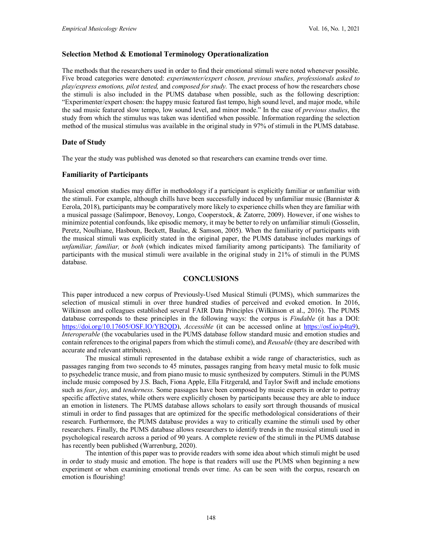#### **Selection Method & Emotional Terminology Operationalization**

The methods that the researchers used in order to find their emotional stimuli were noted whenever possible. Five broad categories were denoted: *experimenter/expert chosen, previous studies, professionals asked to play/express emotions, pilot tested,* and *composed for study.* The exact process of how the researchers chose the stimuli is also included in the PUMS database when possible, such as the following description: "Experimenter/expert chosen: the happy music featured fast tempo, high sound level, and major mode, while the sad music featured slow tempo, low sound level, and minor mode." In the case of *previous studies*, the study from which the stimulus was taken was identified when possible. Information regarding the selection method of the musical stimulus was available in the original study in 97% of stimuli in the PUMS database.

## **Date of Study**

The year the study was published was denoted so that researchers can examine trends over time.

## **Familiarity of Participants**

Musical emotion studies may differ in methodology if a participant is explicitly familiar or unfamiliar with the stimuli. For example, although chills have been successfully induced by unfamiliar music (Bannister  $\&$ Eerola, 2018), participants may be comparatively more likely to experience chills when they are familiar with a musical passage (Salimpoor, Benovoy, Longo, Cooperstock, & Zatorre, 2009). However, if one wishes to minimize potential confounds, like episodic memory, it may be better to rely on unfamiliar stimuli (Gosselin, Peretz, Noulhiane, Hasboun, Beckett, Baulac, & Samson, 2005). When the familiarity of participants with the musical stimuli was explicitly stated in the original paper, the PUMS database includes markings of *unfamiliar, familiar,* or *both* (which indicates mixed familiarity among participants)*.* The familiarity of participants with the musical stimuli were available in the original study in 21% of stimuli in the PUMS database.

## **CONCLUSIONS**

This paper introduced a new corpus of Previously-Used Musical Stimuli (PUMS), which summarizes the selection of musical stimuli in over three hundred studies of perceived and evoked emotion. In 2016, Wilkinson and colleagues established several FAIR Data Principles (Wilkinson et al., 2016). The PUMS database corresponds to these principles in the following ways: the corpus is *Findable* (it has a DOI: [https://doi.org/10.17605/OSF.IO/YB2QD\)](https://doi.org/10.17605/OSF.IO/YB2QD), *Accessible* (it can be accessed online at [https://osf.io/p4ta9\)](https://osf.io/p4ta9), *Interoperable* (the vocabularies used in the PUMS database follow standard music and emotion studies and contain references to the original papers from which the stimuli come), and *Reusable* (they are described with accurate and relevant attributes).

The musical stimuli represented in the database exhibit a wide range of characteristics, such as passages ranging from two seconds to 45 minutes, passages ranging from heavy metal music to folk music to psychedelic trance music, and from piano music to music synthesized by computers. Stimuli in the PUMS include music composed by J.S. Bach, Fiona Apple, Ella Fitzgerald, and Taylor Swift and include emotions such as *fear*, *joy*, and *tenderness*. Some passages have been composed by music experts in order to portray specific affective states, while others were explicitly chosen by participants because they are able to induce an emotion in listeners. The PUMS database allows scholars to easily sort through thousands of musical stimuli in order to find passages that are optimized for the specific methodological considerations of their research. Furthermore, the PUMS database provides a way to critically examine the stimuli used by other researchers. Finally, the PUMS database allows researchers to identify trends in the musical stimuli used in psychological research across a period of 90 years. A complete review of the stimuli in the PUMS database has recently been published (Warrenburg, 2020).

The intention of this paper was to provide readers with some idea about which stimuli might be used in order to study music and emotion. The hope is that readers will use the PUMS when beginning a new experiment or when examining emotional trends over time. As can be seen with the corpus, research on emotion is flourishing!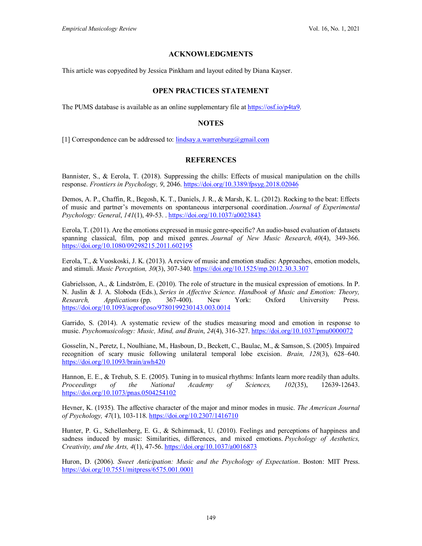# **ACKNOWLEDGMENTS**

This article was copyedited by Jessica Pinkham and layout edited by Diana Kayser.

# **OPEN PRACTICES STATEMENT**

The PUMS database is available as an online supplementary file a[t https://osf.io/p4ta9.](https://osf.io/p4ta9)

# **NOTES**

[1] Correspondence can be addressed to:  $\frac{\text{limday.a.warrenburg}(\partial \text{gmail.com})}{\text{limday.a.warrenburg}(\partial \text{gmail.com})}$ 

# **REFERENCES**

Bannister, S., & Eerola, T. (2018). Suppressing the chills: Effects of musical manipulation on the chills response. *Frontiers in Psychology, 9*, 2046[. https://doi.org/10.3389/fpsyg.2018.02046](https://doi.org/10.3389/fpsyg.2018.02046)

Demos, A. P., Chaffin, R., Begosh, K. T., Daniels, J. R., & Marsh, K. L. (2012). Rocking to the beat: Effects of music and partner's movements on spontaneous interpersonal coordination. *Journal of Experimental Psychology: General*, *141*(1), 49-53. [. https://doi.org/10.1037/a0023843](https://doi.org/10.1037/a0023843)

Eerola, T. (2011). Are the emotions expressed in music genre-specific? An audio-based evaluation of datasets spanning classical, film, pop and mixed genres. *Journal of New Music Research, 40*(4), 349-366. <https://doi.org/10.1080/09298215.2011.602195>

Eerola, T., & Vuoskoski, J. K. (2013). A review of music and emotion studies: Approaches, emotion models, and stimuli. *Music Perception, 30*(3), 307-340[. https://doi.org/10.1525/mp.2012.30.3.307](https://doi.org/10.1525/mp.2012.30.3.307)

Gabrielsson, A., & Lindström, E. (2010). The role of structure in the musical expression of emotions. In P. N. Juslin & J. A. Sloboda (Eds.), *Series in Affective Science. Handbook of Music and Emotion: Theory, Research, Applications* (pp. 367-400). New York: Oxford University Press. <https://doi.org/10.1093/acprof:oso/9780199230143.003.0014>

Garrido, S. (2014). A systematic review of the studies measuring mood and emotion in response to music. *Psychomusicology: Music, Mind, and Brain*, *24*(4), 316-327.<https://doi.org/10.1037/pmu0000072>

Gosselin, N., Peretz, I., Noulhiane, M., Hasboun, D., Beckett, C., Baulac, M., & Samson, S. (2005). Impaired recognition of scary music following unilateral temporal lobe excision. *Brain, 128*(3), 628–640. <https://doi.org/10.1093/brain/awh420>

Hannon, E. E., & Trehub, S. E. (2005). Tuning in to musical rhythms: Infants learn more readily than adults. *Proceedings of the National Academy of Sciences, 102*(35), 12639-12643. <https://doi.org/10.1073/pnas.0504254102>

Hevner, K. (1935). The affective character of the major and minor modes in music. *The American Journal of Psychology, 47*(1), 103-118.<https://doi.org/10.2307/1416710>

Hunter, P. G., Schellenberg, E. G., & Schimmack, U. (2010). Feelings and perceptions of happiness and sadness induced by music: Similarities, differences, and mixed emotions. *Psychology of Aesthetics, Creativity, and the Arts, 4*(1), 47-56.<https://doi.org/10.1037/a0016873>

Huron, D. (2006). *Sweet Anticipation: Music and the Psychology of Expectation*. Boston: MIT Press. <https://doi.org/10.7551/mitpress/6575.001.0001>